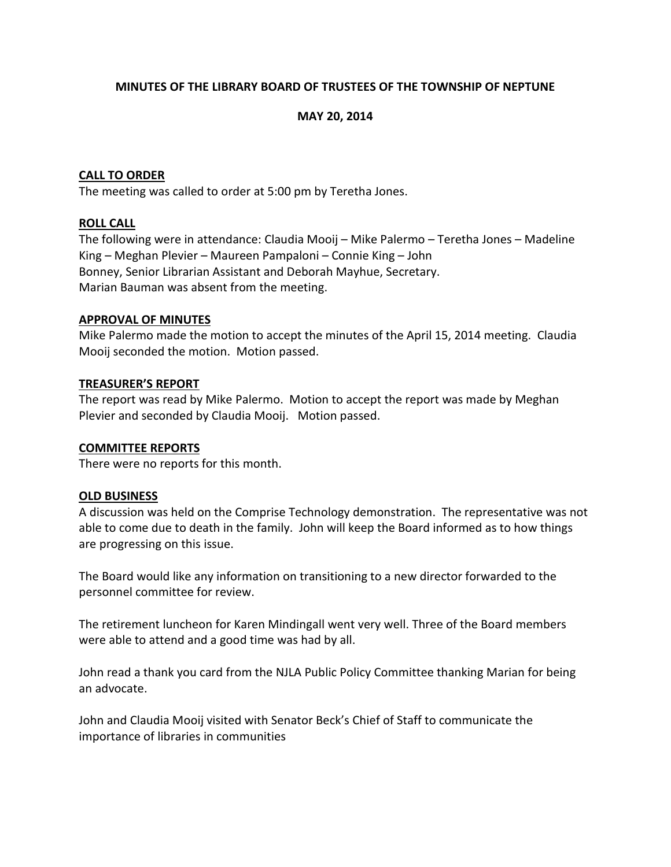# **MINUTES OF THE LIBRARY BOARD OF TRUSTEES OF THE TOWNSHIP OF NEPTUNE**

# **MAY 20, 2014**

## **CALL TO ORDER**

The meeting was called to order at 5:00 pm by Teretha Jones.

## **ROLL CALL**

The following were in attendance: Claudia Mooij – Mike Palermo – Teretha Jones – Madeline King – Meghan Plevier – Maureen Pampaloni – Connie King – John Bonney, Senior Librarian Assistant and Deborah Mayhue, Secretary. Marian Bauman was absent from the meeting.

## **APPROVAL OF MINUTES**

Mike Palermo made the motion to accept the minutes of the April 15, 2014 meeting. Claudia Mooij seconded the motion. Motion passed.

## **TREASURER'S REPORT**

The report was read by Mike Palermo. Motion to accept the report was made by Meghan Plevier and seconded by Claudia Mooij. Motion passed.

#### **COMMITTEE REPORTS**

There were no reports for this month.

#### **OLD BUSINESS**

A discussion was held on the Comprise Technology demonstration. The representative was not able to come due to death in the family. John will keep the Board informed as to how things are progressing on this issue.

The Board would like any information on transitioning to a new director forwarded to the personnel committee for review.

The retirement luncheon for Karen Mindingall went very well. Three of the Board members were able to attend and a good time was had by all.

John read a thank you card from the NJLA Public Policy Committee thanking Marian for being an advocate.

John and Claudia Mooij visited with Senator Beck's Chief of Staff to communicate the importance of libraries in communities